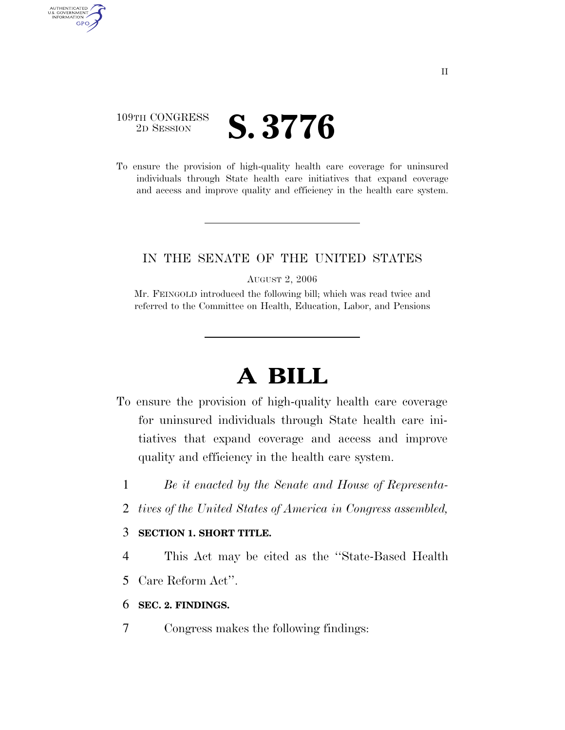### 109TH CONGRESS <sup>2D SESSION</sup> **S. 3776**

AUTHENTICATED<br>U.S. GOVERNMENT<br>INFORMATION

**GPO** 

To ensure the provision of high-quality health care coverage for uninsured individuals through State health care initiatives that expand coverage and access and improve quality and efficiency in the health care system.

#### IN THE SENATE OF THE UNITED STATES

AUGUST 2, 2006

Mr. FEINGOLD introduced the following bill; which was read twice and referred to the Committee on Health, Education, Labor, and Pensions

# **A BILL**

- To ensure the provision of high-quality health care coverage for uninsured individuals through State health care initiatives that expand coverage and access and improve quality and efficiency in the health care system.
	- 1 *Be it enacted by the Senate and House of Representa-*
	- 2 *tives of the United States of America in Congress assembled,*

#### 3 **SECTION 1. SHORT TITLE.**

- 4 This Act may be cited as the ''State-Based Health
- 5 Care Reform Act''.
- 6 **SEC. 2. FINDINGS.**
- 7 Congress makes the following findings: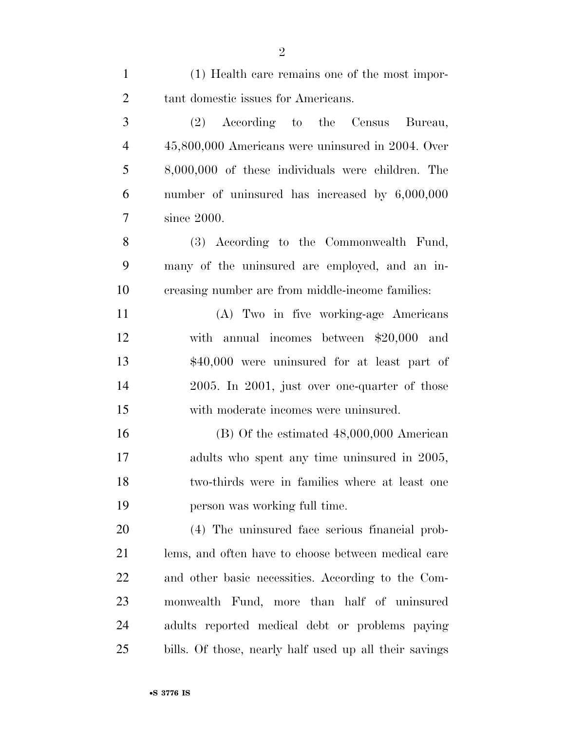| $\mathbf{1}$   | (1) Health care remains one of the most impor-         |
|----------------|--------------------------------------------------------|
| $\overline{2}$ | tant domestic issues for Americans.                    |
| 3              | (2) According to the Census Bureau,                    |
| $\overline{4}$ | 45,800,000 Americans were uninsured in 2004. Over      |
| 5              | 8,000,000 of these individuals were children. The      |
| 6              | number of uninsured has increased by 6,000,000         |
| $\overline{7}$ | since 2000.                                            |
| 8              | (3) According to the Commonwealth Fund,                |
| 9              | many of the uninsured are employed, and an in-         |
| 10             | creasing number are from middle-income families:       |
| 11             | (A) Two in five working-age Americans                  |
| 12             | with annual incomes between $$20,000$ and              |
| 13             | \$40,000 were uninsured for at least part of           |
| 14             | 2005. In 2001, just over one-quarter of those          |
| 15             | with moderate incomes were uninsured.                  |
| 16             | $(B)$ Of the estimated $48,000,000$ American           |
| 17             | adults who spent any time uninsured in 2005,           |
| 18             | two-thirds were in families where at least one         |
| 19             | person was working full time.                          |
| 20             | (4) The uninsured face serious financial prob-         |
| 21             | lems, and often have to choose between medical care    |
| 22             | and other basic necessities. According to the Com-     |
| 23             | monwealth Fund, more than half of uninsured            |
| 24             | adults reported medical debt or problems paying        |
| 25             | bills. Of those, nearly half used up all their savings |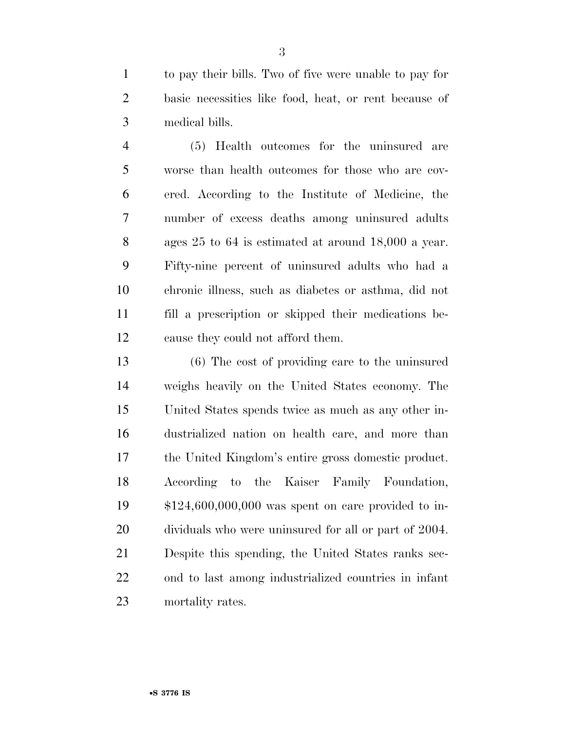to pay their bills. Two of five were unable to pay for basic necessities like food, heat, or rent because of medical bills.

 (5) Health outcomes for the uninsured are worse than health outcomes for those who are cov- ered. According to the Institute of Medicine, the number of excess deaths among uninsured adults ages 25 to 64 is estimated at around 18,000 a year. Fifty-nine percent of uninsured adults who had a chronic illness, such as diabetes or asthma, did not fill a prescription or skipped their medications be-cause they could not afford them.

 (6) The cost of providing care to the uninsured weighs heavily on the United States economy. The United States spends twice as much as any other in- dustrialized nation on health care, and more than the United Kingdom's entire gross domestic product. According to the Kaiser Family Foundation, \$124,600,000,000 was spent on care provided to in- dividuals who were uninsured for all or part of 2004. Despite this spending, the United States ranks sec- ond to last among industrialized countries in infant mortality rates.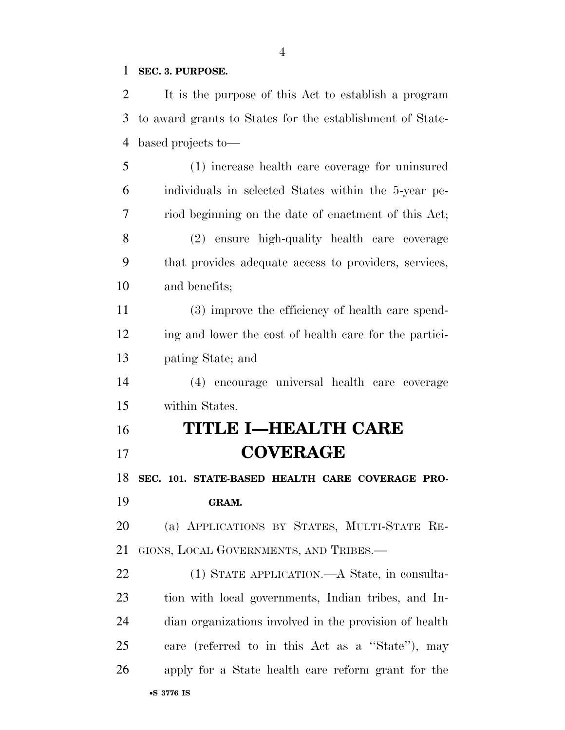#### **SEC. 3. PURPOSE.**

 It is the purpose of this Act to establish a program to award grants to States for the establishment of State-based projects to—

 (1) increase health care coverage for uninsured individuals in selected States within the 5-year pe- riod beginning on the date of enactment of this Act; (2) ensure high-quality health care coverage that provides adequate access to providers, services, and benefits;

 (3) improve the efficiency of health care spend- ing and lower the cost of health care for the partici-pating State; and

 (4) encourage universal health care coverage within States.

## **TITLE I—HEALTH CARE COVERAGE**

**SEC. 101. STATE-BASED HEALTH CARE COVERAGE PRO-**

**GRAM.** 

 (a) APPLICATIONS BY STATES, MULTI-STATE RE-GIONS, LOCAL GOVERNMENTS, AND TRIBES.—

•**S 3776 IS** (1) STATE APPLICATION.—A State, in consulta- tion with local governments, Indian tribes, and In- dian organizations involved in the provision of health care (referred to in this Act as a ''State''), may apply for a State health care reform grant for the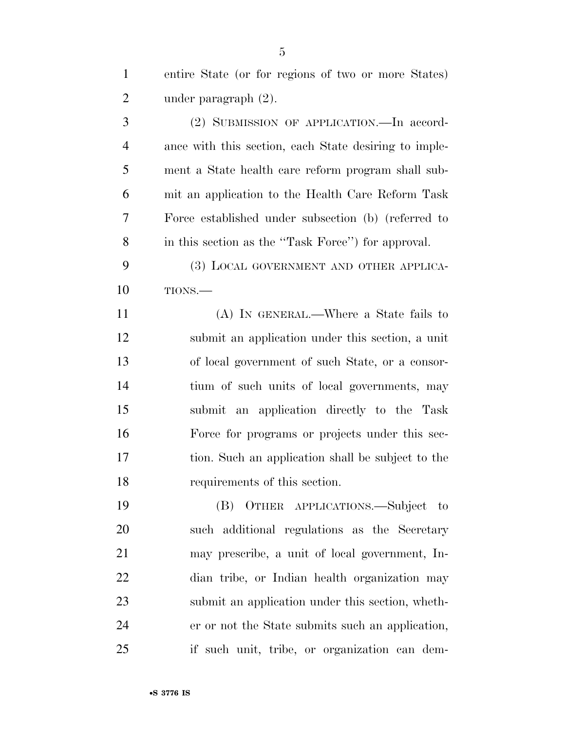entire State (or for regions of two or more States) under paragraph (2).

 (2) SUBMISSION OF APPLICATION.—In accord- ance with this section, each State desiring to imple- ment a State health care reform program shall sub- mit an application to the Health Care Reform Task Force established under subsection (b) (referred to in this section as the ''Task Force'') for approval.

 (3) LOCAL GOVERNMENT AND OTHER APPLICA-TIONS.—

 (A) IN GENERAL.—Where a State fails to submit an application under this section, a unit of local government of such State, or a consor- tium of such units of local governments, may submit an application directly to the Task Force for programs or projects under this sec- tion. Such an application shall be subject to the requirements of this section.

 (B) OTHER APPLICATIONS.—Subject to such additional regulations as the Secretary may prescribe, a unit of local government, In- dian tribe, or Indian health organization may submit an application under this section, wheth- er or not the State submits such an application, if such unit, tribe, or organization can dem-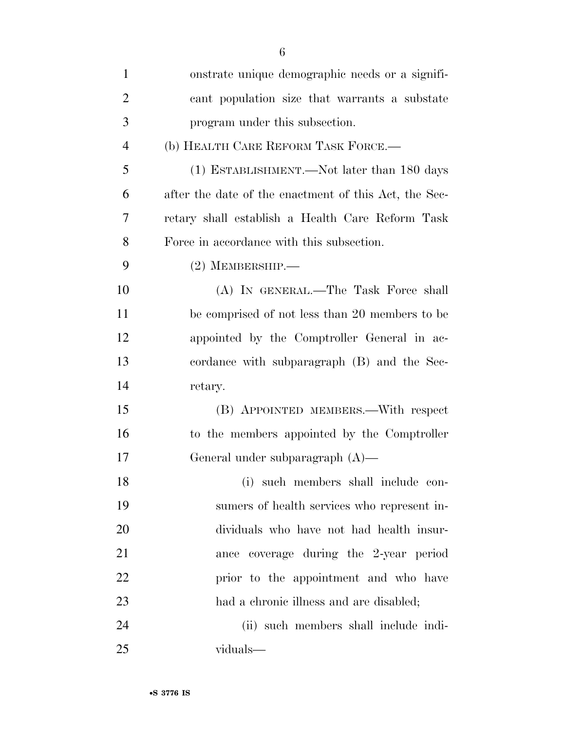| $\mathbf{1}$   | onstrate unique demographic needs or a signifi-       |
|----------------|-------------------------------------------------------|
| $\overline{2}$ | cant population size that warrants a substate         |
| 3              | program under this subsection.                        |
| $\overline{4}$ | (b) HEALTH CARE REFORM TASK FORCE.-                   |
| 5              | (1) ESTABLISHMENT.—Not later than 180 days            |
| 6              | after the date of the enactment of this Act, the Sec- |
| 7              | retary shall establish a Health Care Reform Task      |
| 8              | Force in accordance with this subsection.             |
| 9              | $(2)$ MEMBERSHIP.—                                    |
| 10             | (A) IN GENERAL.—The Task Force shall                  |
| 11             | be comprised of not less than 20 members to be        |
| 12             | appointed by the Comptroller General in ac-           |
| 13             | cordance with subparagraph (B) and the Sec-           |
| 14             | retary.                                               |
| 15             | (B) APPOINTED MEMBERS.—With respect                   |
| 16             | to the members appointed by the Comptroller           |
| 17             | General under subparagraph $(A)$ —                    |
| 18             | (i) such members shall include con-                   |
| 19             | sumers of health services who represent in-           |
| 20             | dividuals who have not had health insur-              |
| 21             | ance coverage during the 2-year period                |
| 22             | prior to the appointment and who have                 |
| 23             | had a chronic illness and are disabled;               |
| 24             | (ii) such members shall include indi-                 |
| 25             | viduals—                                              |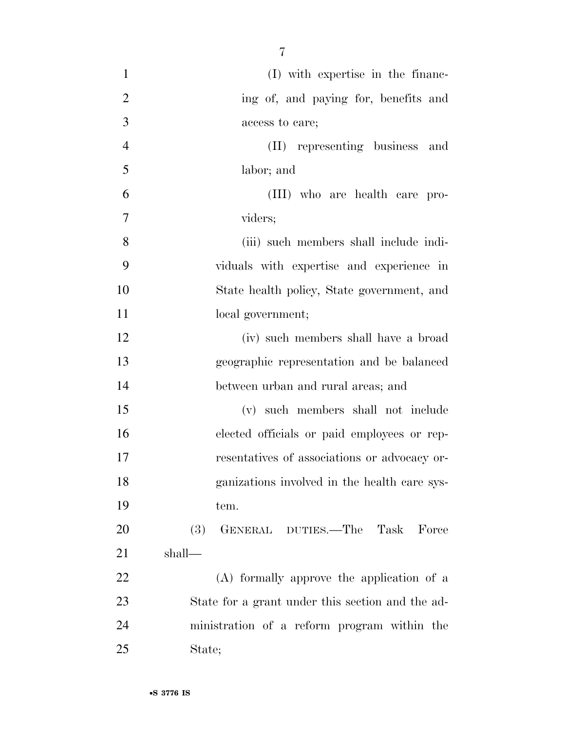| $\mathbf{1}$   | (I) with expertise in the financ-                |
|----------------|--------------------------------------------------|
| $\overline{2}$ | ing of, and paying for, benefits and             |
| 3              | access to care;                                  |
| $\overline{4}$ | (II) representing business<br>and                |
| 5              | labor; and                                       |
| 6              | (III) who are health care pro-                   |
| 7              | viders;                                          |
| 8              | (iii) such members shall include indi-           |
| 9              | viduals with expertise and experience in         |
| 10             | State health policy, State government, and       |
| 11             | local government;                                |
| 12             | (iv) such members shall have a broad             |
| 13             | geographic representation and be balanced        |
| 14             | between urban and rural areas; and               |
| 15             | (v) such members shall not include               |
| 16             | elected officials or paid employees or rep-      |
| 17             | resentatives of associations or advocacy or-     |
| 18             | ganizations involved in the health care sys-     |
| 19             | tem.                                             |
| 20             | GENERAL DUTIES.—The Task Force<br>(3)            |
| 21             | shall—                                           |
| 22             | (A) formally approve the application of a        |
| 23             | State for a grant under this section and the ad- |
| 24             | ministration of a reform program within the      |
| 25             | State;                                           |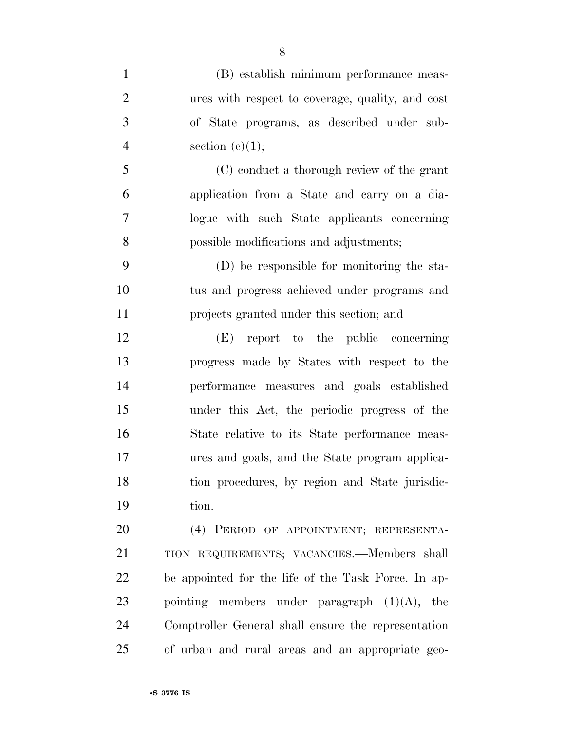| (B) establish minimum performance meas-             |
|-----------------------------------------------------|
| ures with respect to coverage, quality, and cost    |
| of State programs, as described under sub-          |
| section $(c)(1);$                                   |
| (C) conduct a thorough review of the grant          |
| application from a State and carry on a dia-        |
| logue with such State applicants concerning         |
| possible modifications and adjustments;             |
| (D) be responsible for monitoring the sta-          |
| tus and progress achieved under programs and        |
| projects granted under this section; and            |
| (E) report to the public concerning                 |
| progress made by States with respect to the         |
| performance measures and goals established          |
| under this Act, the periodic progress of the        |
| State relative to its State performance meas-       |
| ures and goals, and the State program applica-      |
| tion procedures, by region and State jurisdic-      |
| tion.                                               |
| (4) PERIOD OF APPOINTMENT; REPRESENTA-              |
| TION REQUIREMENTS; VACANCIES.—Members shall         |
| be appointed for the life of the Task Force. In ap- |
| pointing members under paragraph $(1)(A)$ , the     |
| Comptroller General shall ensure the representation |
|                                                     |

of urban and rural areas and an appropriate geo-

•**S 3776 IS**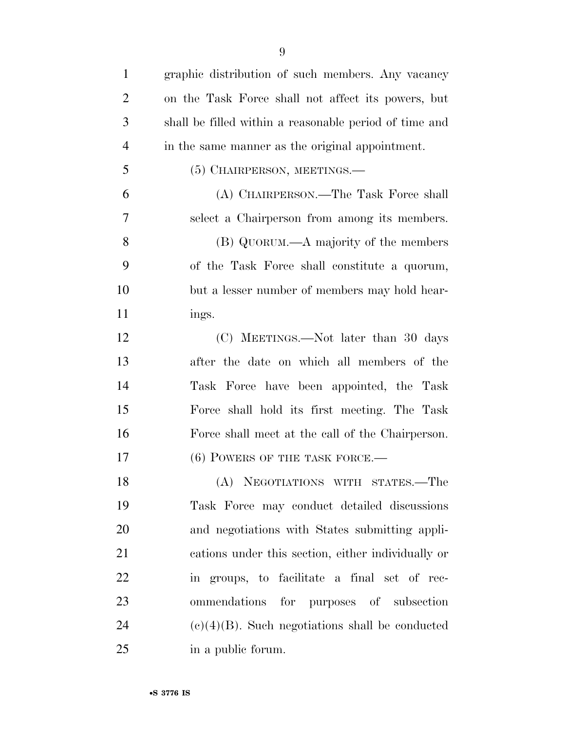| $\mathbf{1}$   | graphic distribution of such members. Any vacancy      |
|----------------|--------------------------------------------------------|
| $\overline{2}$ | on the Task Force shall not affect its powers, but     |
| 3              | shall be filled within a reasonable period of time and |
| $\overline{4}$ | in the same manner as the original appointment.        |
| 5              | $(5)$ CHAIRPERSON, MEETINGS.—                          |
| 6              | (A) CHAIRPERSON.—The Task Force shall                  |
| 7              | select a Chairperson from among its members.           |
| 8              | (B) QUORUM.—A majority of the members                  |
| 9              | of the Task Force shall constitute a quorum,           |
| 10             | but a lesser number of members may hold hear-          |
| 11             | ings.                                                  |
| 12             | (C) MEETINGS.—Not later than 30 days                   |
| 13             | after the date on which all members of the             |
| 14             | Task Force have been appointed, the Task               |
| 15             | Force shall hold its first meeting. The Task           |
| 16             | Force shall meet at the call of the Chairperson.       |
| 17             | $(6)$ POWERS OF THE TASK FORCE.—                       |
| 18             | (A) NEGOTIATIONS WITH STATES.—The                      |
| 19             | Task Force may conduct detailed discussions            |
| 20             | and negotiations with States submitting appli-         |
| 21             | cations under this section, either individually or     |
| 22             | in groups, to facilitate a final set of rec-           |
| 23             | ommendations for purposes of subsection                |
| 24             | $(e)(4)(B)$ . Such negotiations shall be conducted     |
| 25             | in a public forum.                                     |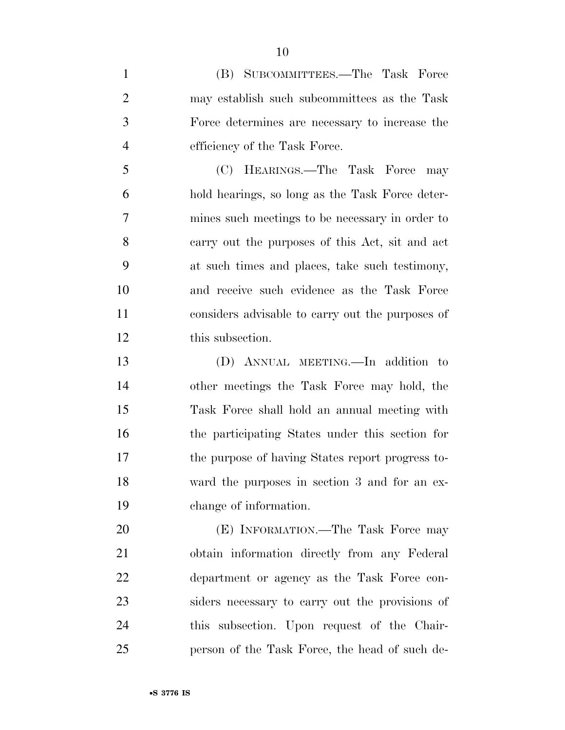(B) SUBCOMMITTEES.—The Task Force may establish such subcommittees as the Task Force determines are necessary to increase the efficiency of the Task Force.

 (C) HEARINGS.—The Task Force may hold hearings, so long as the Task Force deter- mines such meetings to be necessary in order to carry out the purposes of this Act, sit and act at such times and places, take such testimony, and receive such evidence as the Task Force considers advisable to carry out the purposes of this subsection.

 (D) ANNUAL MEETING.—In addition to other meetings the Task Force may hold, the Task Force shall hold an annual meeting with the participating States under this section for the purpose of having States report progress to- ward the purposes in section 3 and for an ex-change of information.

20 (E) INFORMATION.—The Task Force may obtain information directly from any Federal department or agency as the Task Force con- siders necessary to carry out the provisions of this subsection. Upon request of the Chair-person of the Task Force, the head of such de-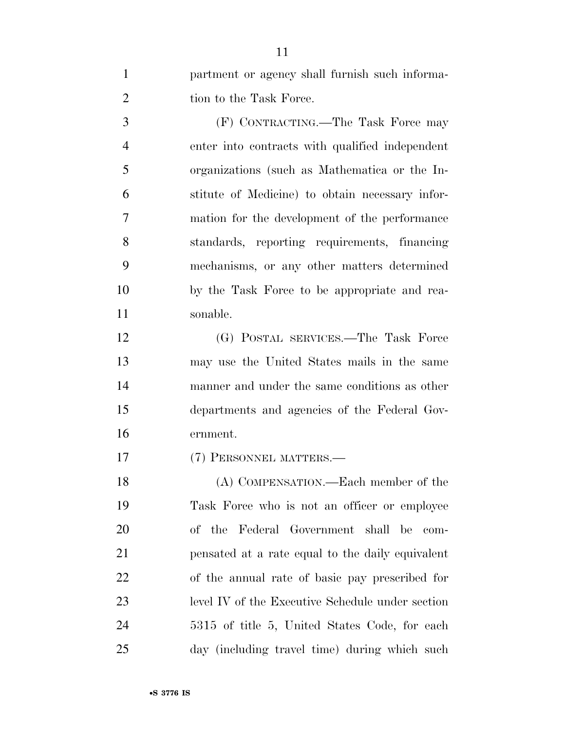| $\mathbf{1}$   | partment or agency shall furnish such informa-   |
|----------------|--------------------------------------------------|
| $\overline{2}$ | tion to the Task Force.                          |
| 3              | (F) CONTRACTING.—The Task Force may              |
| $\overline{4}$ | enter into contracts with qualified independent  |
| 5              | organizations (such as Mathematica or the In-    |
| 6              | stitute of Medicine) to obtain necessary infor-  |
| 7              | mation for the development of the performance    |
| 8              | standards, reporting requirements, financing     |
| 9              | mechanisms, or any other matters determined      |
| 10             | by the Task Force to be appropriate and rea-     |
| 11             | sonable.                                         |
| 12             | (G) POSTAL SERVICES.—The Task Force              |
| 13             | may use the United States mails in the same      |
| 14             | manner and under the same conditions as other    |
| 15             | departments and agencies of the Federal Gov-     |
| 16             | ernment.                                         |
| 17             | (7) PERSONNEL MATTERS.—                          |
| 18             | (A) COMPENSATION.—Each member of the             |
| 19             | Task Force who is not an officer or employee     |
| 20             | of the Federal Government shall be com-          |
| 21             | pensated at a rate equal to the daily equivalent |
| 22             | of the annual rate of basic pay prescribed for   |
| 23             | level IV of the Executive Schedule under section |
| 24             | 5315 of title 5, United States Code, for each    |
| 25             | day (including travel time) during which such    |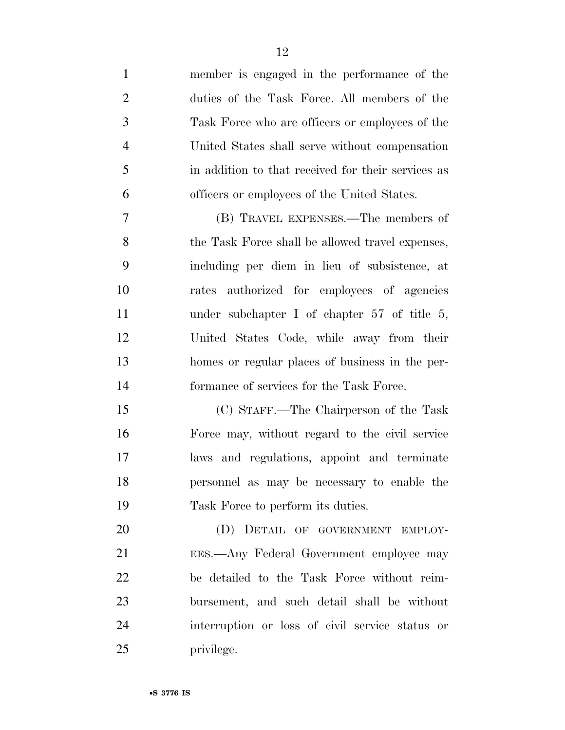member is engaged in the performance of the duties of the Task Force. All members of the Task Force who are officers or employees of the United States shall serve without compensation in addition to that received for their services as officers or employees of the United States. (B) TRAVEL EXPENSES.—The members of 8 the Task Force shall be allowed travel expenses, including per diem in lieu of subsistence, at rates authorized for employees of agencies under subchapter I of chapter 57 of title 5, United States Code, while away from their homes or regular places of business in the per- formance of services for the Task Force. (C) STAFF.—The Chairperson of the Task Force may, without regard to the civil service laws and regulations, appoint and terminate personnel as may be necessary to enable the

20 (D) DETAIL OF GOVERNMENT EMPLOY- EES.—Any Federal Government employee may be detailed to the Task Force without reim- bursement, and such detail shall be without interruption or loss of civil service status or privilege.

Task Force to perform its duties.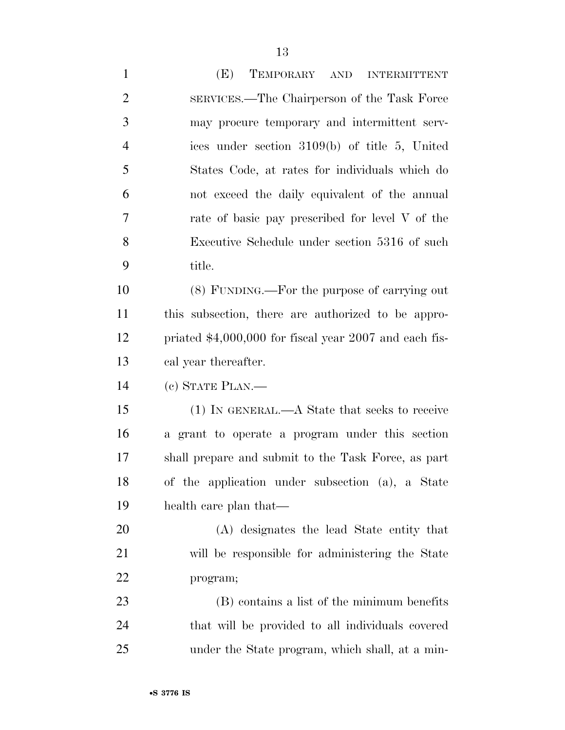| $\mathbf{1}$   | (E)<br>TEMPORARY AND INTERMITTENT                       |
|----------------|---------------------------------------------------------|
| $\overline{c}$ | SERVICES.—The Chairperson of the Task Force             |
| 3              | may procure temporary and intermittent serv-            |
| $\overline{4}$ | ices under section 3109(b) of title 5, United           |
| 5              | States Code, at rates for individuals which do          |
| 6              | not exceed the daily equivalent of the annual           |
| 7              | rate of basic pay prescribed for level V of the         |
| 8              | Executive Schedule under section 5316 of such           |
| 9              | title.                                                  |
| 10             | (8) FUNDING.—For the purpose of carrying out            |
| 11             | this subsection, there are authorized to be appro-      |
| 12             | priated $$4,000,000$ for fiscal year 2007 and each fis- |
| 13             | cal year thereafter.                                    |
| 14             | (c) STATE PLAN.-                                        |
| 15             | (1) IN GENERAL.—A State that seeks to receive           |
| 16             | a grant to operate a program under this section         |
| 17             | shall prepare and submit to the Task Force, as part     |
| 18             | of the application under subsection (a), a State        |
| 19             | health care plan that—                                  |
| 20             | (A) designates the lead State entity that               |
| 21             | will be responsible for administering the State         |
| 22             | program;                                                |
| 23             | (B) contains a list of the minimum benefits             |
| 24             | that will be provided to all individuals covered        |
| 25             | under the State program, which shall, at a min-         |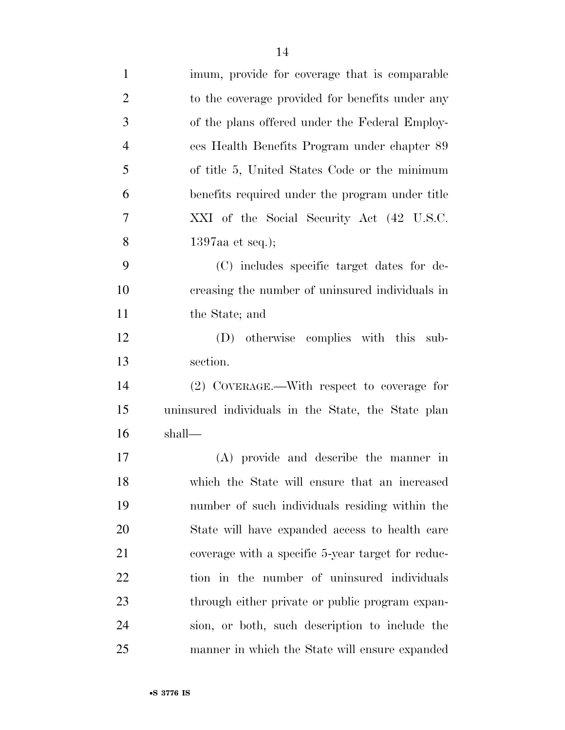| $\mathbf{1}$   | imum, provide for coverage that is comparable      |
|----------------|----------------------------------------------------|
| $\overline{2}$ | to the coverage provided for benefits under any    |
| 3              | of the plans offered under the Federal Employ-     |
| $\overline{4}$ | ees Health Benefits Program under chapter 89       |
| 5              | of title 5, United States Code or the minimum      |
| 6              | benefits required under the program under title    |
| 7              | XXI of the Social Security Act (42 U.S.C.          |
| 8              | 1397aa et seq.);                                   |
| 9              | (C) includes specific target dates for de-         |
| 10             | creasing the number of uninsured individuals in    |
| 11             | the State; and                                     |
| 12             | (D) otherwise complies with this sub-              |
| 13             | section.                                           |
| 14             | (2) COVERAGE.—With respect to coverage for         |
| 15             | uninsured individuals in the State, the State plan |
| 16             | shall-                                             |
| 17             | (A) provide and describe the manner in             |
| 18             | which the State will ensure that an increased      |
| 19             | number of such individuals residing within the     |
| 20             | State will have expanded access to health care     |
| 21             | coverage with a specific 5-year target for reduc-  |
| 22             | tion in the number of uninsured individuals        |
| 23             | through either private or public program expan-    |
| 24             | sion, or both, such description to include the     |
| 25             | manner in which the State will ensure expanded     |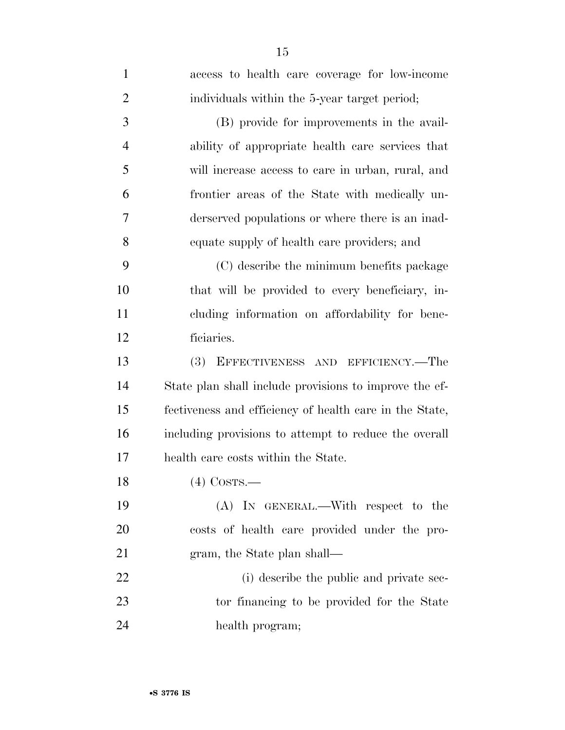| $\mathbf{1}$   | access to health care coverage for low-income           |
|----------------|---------------------------------------------------------|
| $\overline{2}$ | individuals within the 5-year target period;            |
| 3              | (B) provide for improvements in the avail-              |
| $\overline{4}$ | ability of appropriate health care services that        |
| 5              | will increase access to care in urban, rural, and       |
| 6              | frontier areas of the State with medically un-          |
| 7              | derserved populations or where there is an inad-        |
| 8              | equate supply of health care providers; and             |
| 9              | (C) describe the minimum benefits package               |
| 10             | that will be provided to every beneficiary, in-         |
| 11             | cluding information on affordability for bene-          |
| 12             | ficiaries.                                              |
| 13             | <b>(3)</b><br>EFFECTIVENESS AND EFFICIENCY.—The         |
| 14             | State plan shall include provisions to improve the ef-  |
| 15             | fectiveness and efficiency of health care in the State, |
| 16             | including provisions to attempt to reduce the overall   |
| 17             | health care costs within the State.                     |
| 18             | $(4)$ Costs.—                                           |
| 19             | (A) IN GENERAL.—With respect to the                     |
| 20             | costs of health care provided under the pro-            |
| 21             | gram, the State plan shall—                             |
| 22             | (i) describe the public and private sec-                |
| 23             | tor financing to be provided for the State              |
| 24             | health program;                                         |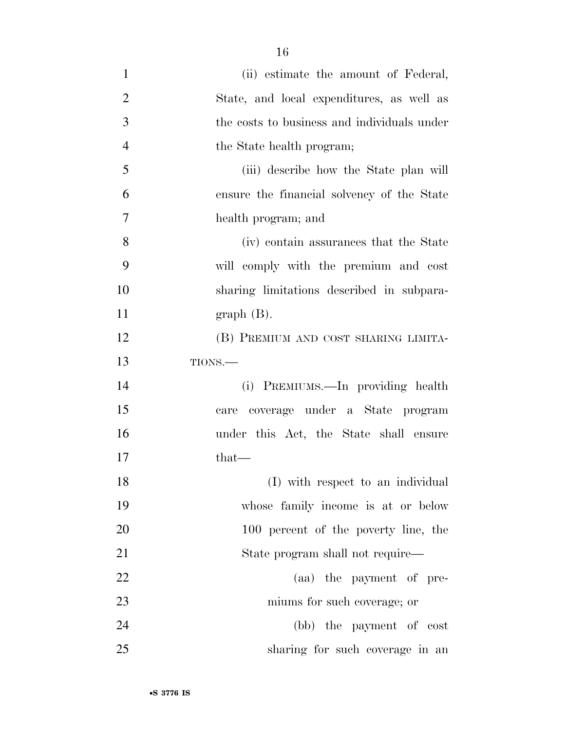| $\mathbf{1}$   | (ii) estimate the amount of Federal,        |
|----------------|---------------------------------------------|
| $\overline{2}$ | State, and local expenditures, as well as   |
| 3              | the costs to business and individuals under |
| $\overline{4}$ | the State health program;                   |
| 5              | (iii) describe how the State plan will      |
| 6              | ensure the financial solvency of the State  |
| 7              | health program; and                         |
| 8              | (iv) contain assurances that the State      |
| 9              | will comply with the premium and cost       |
| 10             | sharing limitations described in subpara-   |
| 11             | $graph(B)$ .                                |
| 12             | (B) PREMIUM AND COST SHARING LIMITA-        |
| 13             | TIONS.-                                     |
| 14             | (i) PREMIUMS.—In providing health           |
| 15             | care coverage under a State program         |
| 16             | under this Act, the State shall ensure      |
| 17             | that—                                       |
| 18             | (I) with respect to an individual           |
| 19             | whose family income is at or below          |
| 20             | 100 percent of the poverty line, the        |
| 21             | State program shall not require—            |
| 22             | (aa) the payment of pre-                    |
| 23             | miums for such coverage; or                 |
| 24             | (bb) the payment of cost                    |
| 25             | sharing for such coverage in an             |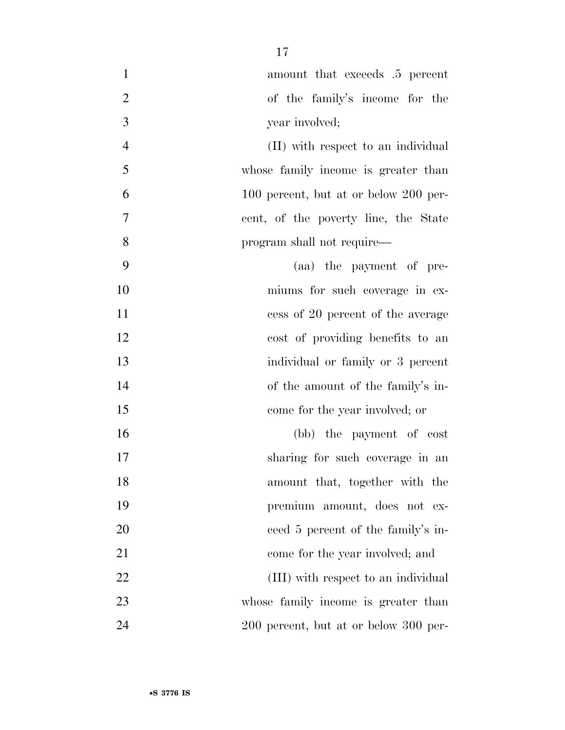| $\mathbf{1}$     | amount that exceeds .5 percent        |
|------------------|---------------------------------------|
| $\overline{2}$   | of the family's income for the        |
| $\mathfrak{Z}$   | year involved;                        |
| $\overline{4}$   | (II) with respect to an individual    |
| 5                | whose family income is greater than   |
| 6                | 100 percent, but at or below 200 per- |
| $\boldsymbol{7}$ | cent, of the poverty line, the State  |
| 8                | program shall not require—            |
| 9                | (aa) the payment of pre-              |
| 10               | miums for such coverage in ex-        |
| 11               | cess of 20 percent of the average     |
| 12               | cost of providing benefits to an      |
| 13               | individual or family or 3 percent     |
| 14               | of the amount of the family's in-     |
| 15               | come for the year involved; or        |
| 16               | (bb) the payment of cost              |
| 17               | sharing for such coverage in an       |
| 18               | amount that, together with the        |
| 19               | premium amount, does not ex-          |
| 20               | ceed 5 percent of the family's in-    |
| 21               | come for the year involved; and       |
| 22               | (III) with respect to an individual   |
| 23               | whose family income is greater than   |
| 24               | 200 percent, but at or below 300 per- |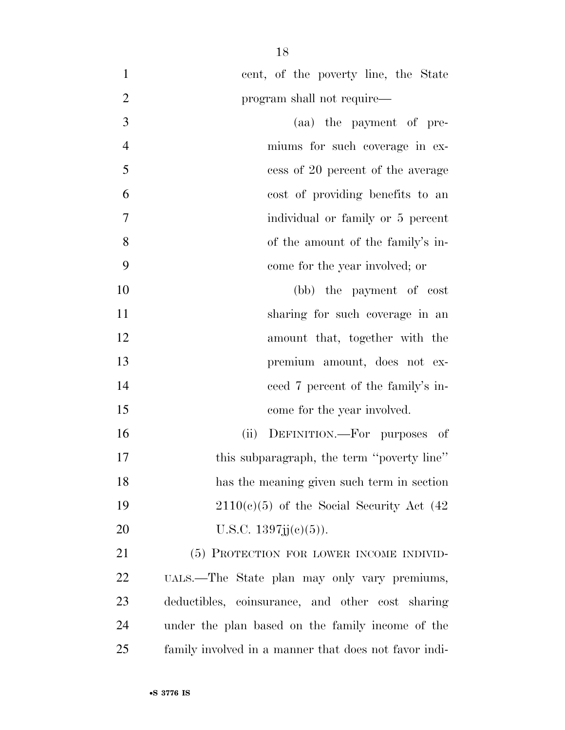| $\mathbf{1}$   | cent, of the poverty line, the State                  |
|----------------|-------------------------------------------------------|
| $\overline{2}$ | program shall not require—                            |
| 3              | (aa) the payment of pre-                              |
| $\overline{4}$ | miums for such coverage in ex-                        |
| 5              | cess of 20 percent of the average                     |
| 6              | cost of providing benefits to an                      |
| 7              | individual or family or 5 percent                     |
| 8              | of the amount of the family's in-                     |
| 9              | come for the year involved; or                        |
| 10             | (bb) the payment of cost                              |
| 11             | sharing for such coverage in an                       |
| 12             | amount that, together with the                        |
| 13             | premium amount, does not ex-                          |
| 14             | ceed 7 percent of the family's in-                    |
| 15             | come for the year involved.                           |
| 16             | DEFINITION.—For purposes of<br>(ii)                   |
| 17             | this subparagraph, the term "poverty line"            |
| 18             | has the meaning given such term in section            |
| 19             | $2110(c)(5)$ of the Social Security Act (42)          |
| 20             | U.S.C. $1397j(j(e)(5))$ .                             |
| 21             | (5) PROTECTION FOR LOWER INCOME INDIVID-              |
| 22             | UALS.—The State plan may only vary premiums,          |
| 23             | deductibles, coinsurance, and other cost sharing      |
| 24             | under the plan based on the family income of the      |
| 25             | family involved in a manner that does not favor indi- |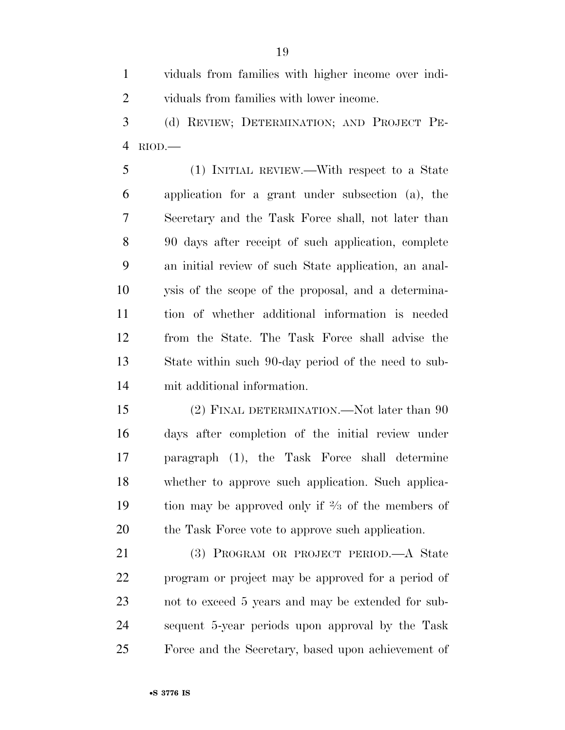viduals from families with higher income over indi-viduals from families with lower income.

 (d) REVIEW; DETERMINATION; AND PROJECT PE-RIOD.—

 (1) INITIAL REVIEW.—With respect to a State application for a grant under subsection (a), the Secretary and the Task Force shall, not later than 90 days after receipt of such application, complete an initial review of such State application, an anal- ysis of the scope of the proposal, and a determina- tion of whether additional information is needed from the State. The Task Force shall advise the State within such 90-day period of the need to sub-mit additional information.

15 (2) FINAL DETERMINATION.—Not later than 90 days after completion of the initial review under paragraph (1), the Task Force shall determine whether to approve such application. Such applica-19 tion may be approved only if  $\frac{2}{3}$  of the members of 20 the Task Force vote to approve such application.

 (3) PROGRAM OR PROJECT PERIOD.—A State program or project may be approved for a period of not to exceed 5 years and may be extended for sub- sequent 5-year periods upon approval by the Task Force and the Secretary, based upon achievement of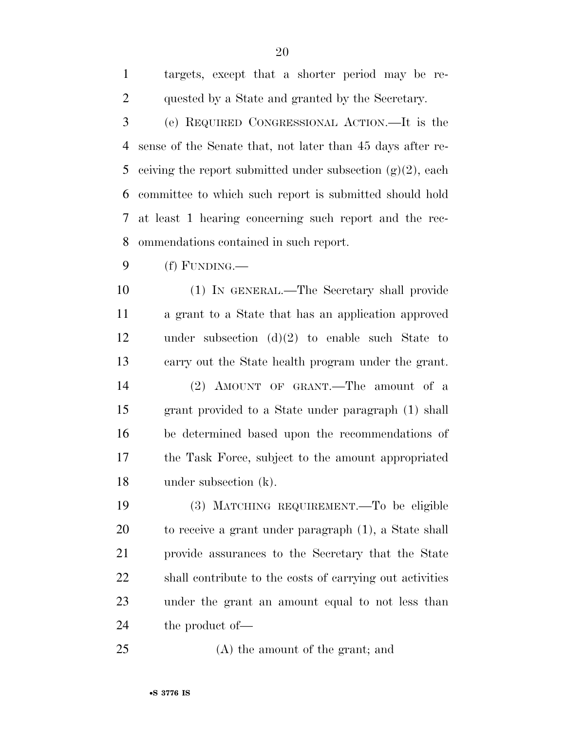| 3              | (e) REQUIRED CONGRESSIONAL ACTION.—It is the                  |
|----------------|---------------------------------------------------------------|
| $\overline{4}$ | sense of the Senate that, not later than 45 days after re-    |
| 5              | ceiving the report submitted under subsection $(g)(2)$ , each |
| 6              | committee to which such report is submitted should hold       |
| 7              | at least 1 hearing concerning such report and the rec-        |
| 8              | ommendations contained in such report.                        |
| 9              | (f) FUNDING.—                                                 |
| 10             | (1) IN GENERAL.—The Secretary shall provide                   |
| 11             | a grant to a State that has an application approved           |
| 12             | under subsection $(d)(2)$ to enable such State to             |
| 13             | carry out the State health program under the grant.           |
| 14             | (2) AMOUNT OF GRANT.—The amount of a                          |
| 15             | grant provided to a State under paragraph (1) shall           |
| 16             | be determined based upon the recommendations of               |
| 17             | the Task Force, subject to the amount appropriated            |
| 18             | under subsection $(k)$ .                                      |
| 19             | (3) MATCHING REQUIREMENT.—To be eligible                      |
| 20             | to receive a grant under paragraph (1), a State shall         |
| 21             | provide assurances to the Secretary that the State            |
| 22             | shall contribute to the costs of carrying out activities      |
| 23             | under the grant an amount equal to not less than              |
| 24             | the product of—                                               |
|                |                                                               |

25 (A) the amount of the grant; and

targets, except that a shorter period may be re-

quested by a State and granted by the Secretary.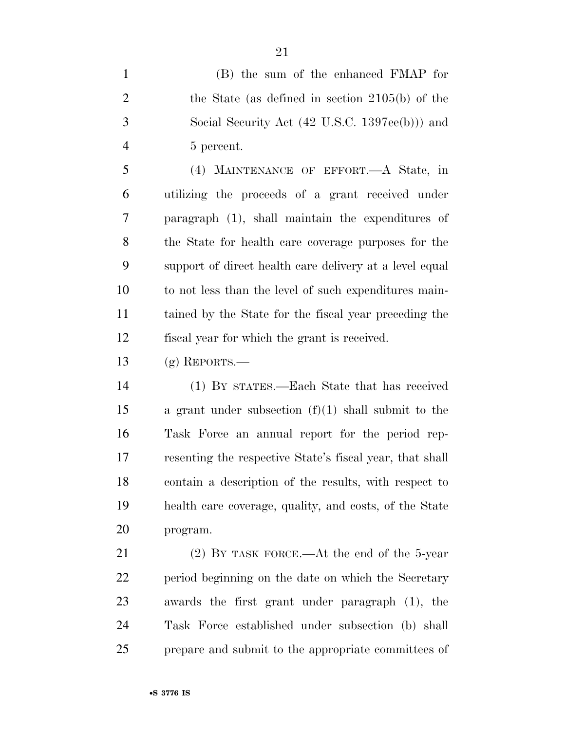(B) the sum of the enhanced FMAP for the State (as defined in section 2105(b) of the Social Security Act (42 U.S.C. 1397ee(b))) and 5 percent.

 (4) MAINTENANCE OF EFFORT.—A State, in utilizing the proceeds of a grant received under paragraph (1), shall maintain the expenditures of the State for health care coverage purposes for the support of direct health care delivery at a level equal to not less than the level of such expenditures main- tained by the State for the fiscal year preceding the fiscal year for which the grant is received.

13 (g) REPORTS.—

 (1) BY STATES.—Each State that has received a grant under subsection (f)(1) shall submit to the Task Force an annual report for the period rep- resenting the respective State's fiscal year, that shall contain a description of the results, with respect to health care coverage, quality, and costs, of the State program.

 (2) BY TASK FORCE.—At the end of the 5-year period beginning on the date on which the Secretary awards the first grant under paragraph (1), the Task Force established under subsection (b) shall prepare and submit to the appropriate committees of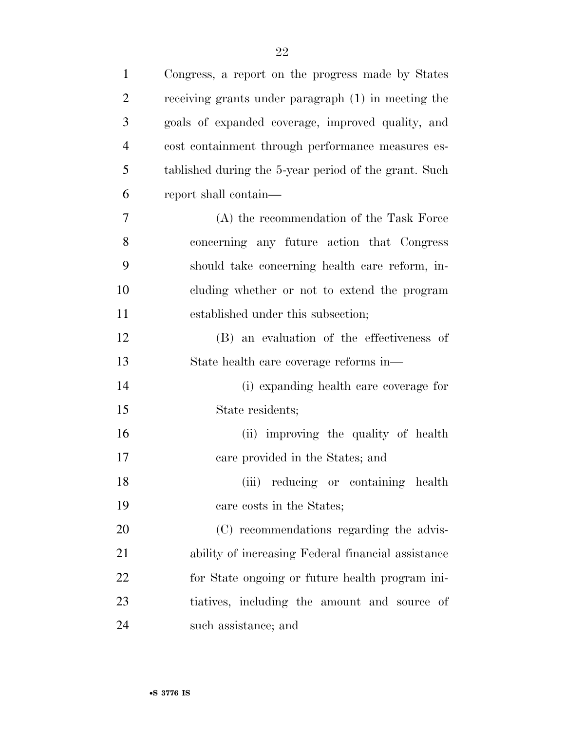| $\mathbf{1}$   | Congress, a report on the progress made by States     |
|----------------|-------------------------------------------------------|
| $\overline{2}$ | receiving grants under paragraph (1) in meeting the   |
| 3              | goals of expanded coverage, improved quality, and     |
| $\overline{4}$ | cost containment through performance measures es-     |
| 5              | tablished during the 5-year period of the grant. Such |
| 6              | report shall contain—                                 |
| 7              | $(A)$ the recommendation of the Task Force            |
| 8              | concerning any future action that Congress            |
| 9              | should take concerning health care reform, in-        |
| 10             | cluding whether or not to extend the program          |
| 11             | established under this subsection;                    |
| 12             | (B) an evaluation of the effectiveness of             |
| 13             | State health care coverage reforms in—                |
| 14             | (i) expanding health care coverage for                |
| 15             | State residents;                                      |
| 16             | (ii) improving the quality of health                  |
| 17             | care provided in the States; and                      |
| 18             | (iii) reducing or containing health                   |
| 19             | care costs in the States;                             |
| 20             | (C) recommendations regarding the advis-              |
| 21             | ability of increasing Federal financial assistance    |
| 22             | for State ongoing or future health program ini-       |
| 23             | tiatives, including the amount and source of          |
| 24             | such assistance; and                                  |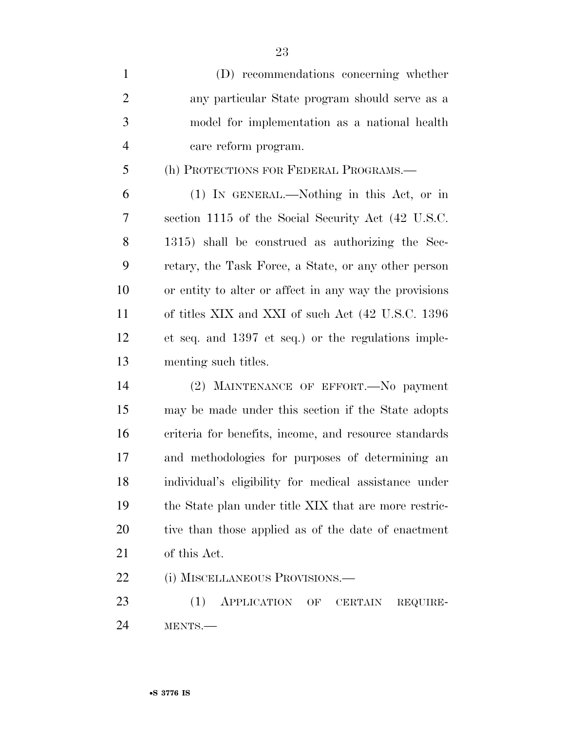| $\mathbf{1}$   | (D) recommendations concerning whether                 |
|----------------|--------------------------------------------------------|
| $\overline{2}$ | any particular State program should serve as a         |
| 3              | model for implementation as a national health          |
| $\overline{4}$ | care reform program.                                   |
| 5              | (h) PROTECTIONS FOR FEDERAL PROGRAMS.—                 |
| 6              | (1) IN GENERAL.—Nothing in this Act, or in             |
| 7              | section 1115 of the Social Security Act (42 U.S.C.     |
| 8              | 1315) shall be construed as authorizing the Sec-       |
| 9              | retary, the Task Force, a State, or any other person   |
| 10             | or entity to alter or affect in any way the provisions |
| 11             | of titles XIX and XXI of such Act (42 U.S.C. 1396      |
| 12             | et seq. and 1397 et seq.) or the regulations imple-    |
| 13             | menting such titles.                                   |
| 14             | (2) MAINTENANCE OF EFFORT. No payment                  |
| 15             | may be made under this section if the State adopts     |
| 16             | criteria for benefits, income, and resource standards  |
| 17             | and methodologies for purposes of determining an       |
| 18             | individual's eligibility for medical assistance under  |
| 19             | the State plan under title XIX that are more restric-  |

of this Act.

(i) MISCELLANEOUS PROVISIONS.—

 (1) APPLICATION OF CERTAIN REQUIRE-MENTS.—

tive than those applied as of the date of enactment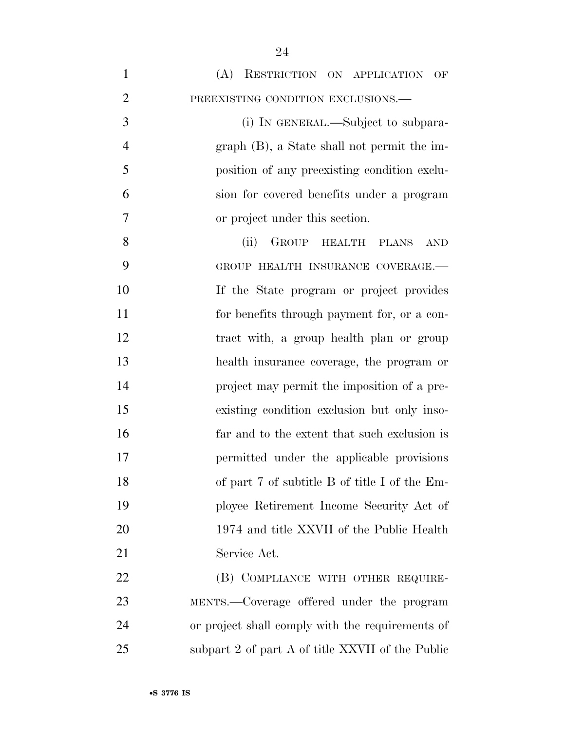| $\mathbf{1}$   | (A) RESTRICTION ON APPLICATION OF                  |
|----------------|----------------------------------------------------|
| $\overline{2}$ | PREEXISTING CONDITION EXCLUSIONS.-                 |
| 3              | (i) IN GENERAL.—Subject to subpara-                |
| $\overline{4}$ | $graph$ (B), a State shall not permit the im-      |
| 5              | position of any preexisting condition exclu-       |
| 6              | sion for covered benefits under a program          |
| 7              | or project under this section.                     |
| 8              | GROUP HEALTH<br>(ii)<br><b>PLANS</b><br><b>AND</b> |
| 9              | GROUP HEALTH INSURANCE COVERAGE.-                  |
| 10             | If the State program or project provides           |
| 11             | for benefits through payment for, or a con-        |
| 12             | tract with, a group health plan or group           |
| 13             | health insurance coverage, the program or          |
| 14             | project may permit the imposition of a pre-        |
| 15             | existing condition exclusion but only inso-        |
| 16             | far and to the extent that such exclusion is       |
| 17             | permitted under the applicable provisions          |
| 18             | of part 7 of subtitle B of title I of the Em-      |
| 19             | ployee Retirement Income Security Act of           |
| 20             | 1974 and title XXVII of the Public Health          |
| 21             | Service Act.                                       |
| 22             | (B) COMPLIANCE WITH OTHER REQUIRE-                 |
| 23             | MENTS.—Coverage offered under the program          |
| 24             | or project shall comply with the requirements of   |
| 25             | subpart 2 of part A of title XXVII of the Public   |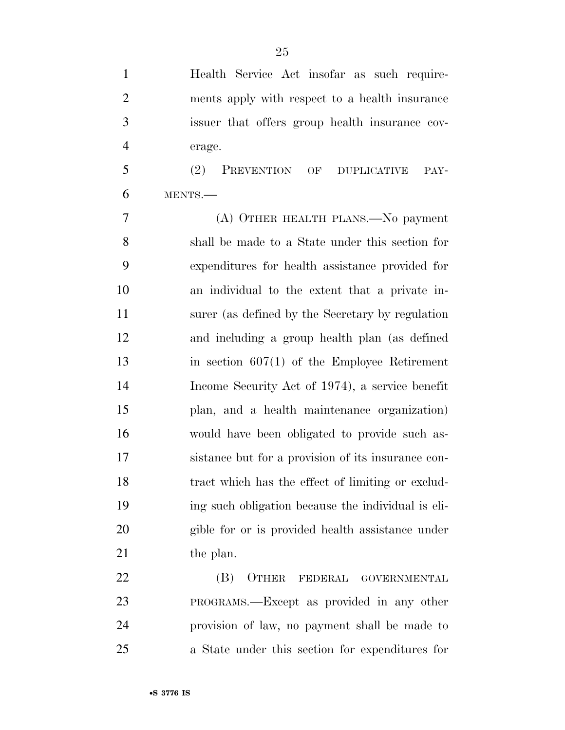Health Service Act insofar as such require- ments apply with respect to a health insurance issuer that offers group health insurance cov-erage.

 (2) PREVENTION OF DUPLICATIVE PAY-MENTS.—

 (A) OTHER HEALTH PLANS.—No payment shall be made to a State under this section for expenditures for health assistance provided for an individual to the extent that a private in- surer (as defined by the Secretary by regulation and including a group health plan (as defined in section 607(1) of the Employee Retirement Income Security Act of 1974), a service benefit plan, and a health maintenance organization) would have been obligated to provide such as- sistance but for a provision of its insurance con- tract which has the effect of limiting or exclud- ing such obligation because the individual is eli- gible for or is provided health assistance under 21 the plan.

 (B) OTHER FEDERAL GOVERNMENTAL PROGRAMS.—Except as provided in any other provision of law, no payment shall be made to a State under this section for expenditures for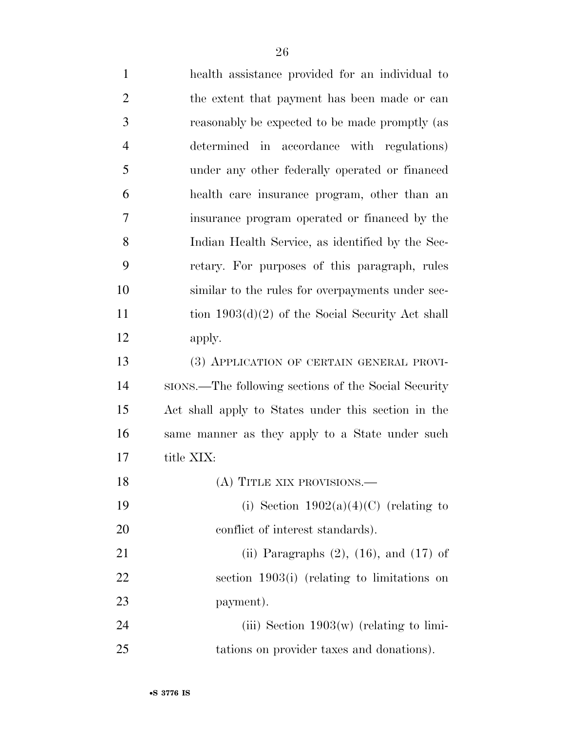| $\mathbf{1}$   | health assistance provided for an individual to      |
|----------------|------------------------------------------------------|
| $\overline{2}$ | the extent that payment has been made or can         |
| 3              | reasonably be expected to be made promptly (as       |
| $\overline{4}$ | determined in accordance with regulations)           |
| 5              | under any other federally operated or financed       |
| 6              | health care insurance program, other than an         |
| 7              | insurance program operated or financed by the        |
| 8              | Indian Health Service, as identified by the Sec-     |
| 9              | retary. For purposes of this paragraph, rules        |
| 10             | similar to the rules for overpayments under sec-     |
| 11             | tion $1903(d)(2)$ of the Social Security Act shall   |
| 12             | apply.                                               |
| 13             | (3) APPLICATION OF CERTAIN GENERAL PROVI-            |
| 14             | sions.—The following sections of the Social Security |
| 15             | Act shall apply to States under this section in the  |
| 16             | same manner as they apply to a State under such      |
| 17             | title XIX:                                           |
| 18             | (A) TITLE XIX PROVISIONS.                            |
| 19             | (i) Section $1902(a)(4)(C)$ (relating to             |
| 20             | conflict of interest standards).                     |
| 21             | (ii) Paragraphs $(2)$ , $(16)$ , and $(17)$ of       |
| 22             | section 1903(i) (relating to limitations on          |
| 23             | payment).                                            |
| 24             | (iii) Section $1903(w)$ (relating to limi-           |
| 25             | tations on provider taxes and donations).            |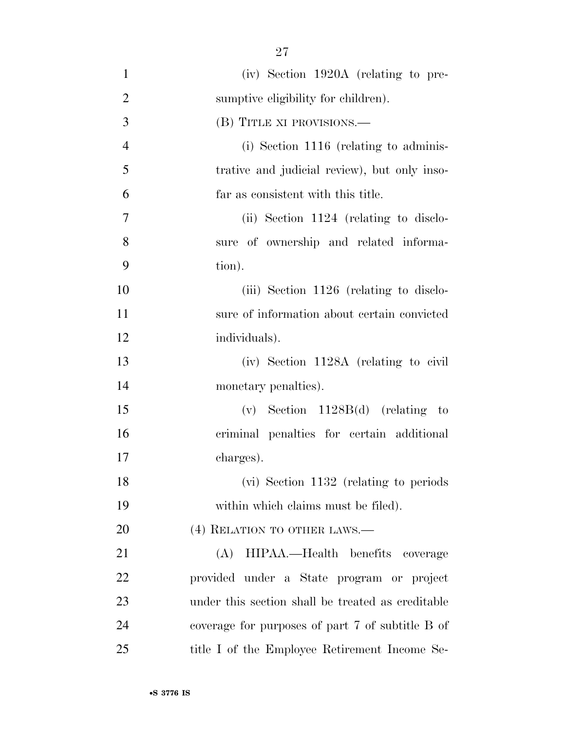(iv) Section 1920A (relating to pre-2 sumptive eligibility for children). (B) TITLE XI PROVISIONS.— (i) Section 1116 (relating to adminis- trative and judicial review), but only inso- far as consistent with this title. (ii) Section 1124 (relating to disclo- sure of ownership and related informa- tion). 10 (iii) Section 1126 (relating to disclo- sure of information about certain convicted individuals). (iv) Section 1128A (relating to civil monetary penalties). (v) Section 1128B(d) (relating to criminal penalties for certain additional charges). (vi) Section 1132 (relating to periods within which claims must be filed). 20 (4) RELATION TO OTHER LAWS.— (A) HIPAA.—Health benefits coverage provided under a State program or project under this section shall be treated as creditable coverage for purposes of part 7 of subtitle B of 25 title I of the Employee Retirement Income Se-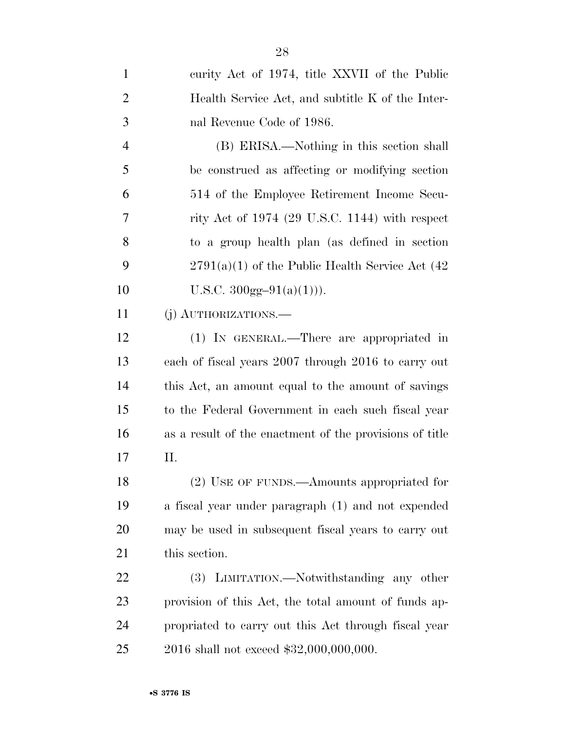| $\mathbf{1}$   | curity Act of 1974, title XXVII of the Public           |
|----------------|---------------------------------------------------------|
| $\overline{2}$ | Health Service Act, and subtitle K of the Inter-        |
| 3              | nal Revenue Code of 1986.                               |
| $\overline{4}$ | (B) ERISA.—Nothing in this section shall                |
| 5              | be construed as affecting or modifying section          |
| 6              | 514 of the Employee Retirement Income Secu-             |
| 7              | rity Act of $1974$ (29 U.S.C. 1144) with respect        |
| 8              | to a group health plan (as defined in section           |
| 9              | $2791(a)(1)$ of the Public Health Service Act (42)      |
| 10             | U.S.C. $300gg-91(a)(1))$ .                              |
| 11             | (j) AUTHORIZATIONS.—                                    |
| 12             | (1) IN GENERAL.—There are appropriated in               |
| 13             | each of fiscal years 2007 through 2016 to carry out     |
| 14             | this Act, an amount equal to the amount of savings      |
| 15             | to the Federal Government in each such fiscal year      |
| 16             | as a result of the enactment of the provisions of title |
| 17             | П.                                                      |
| 18             | (2) USE OF FUNDS.—Amounts appropriated for              |
| 19             | a fiscal year under paragraph (1) and not expended      |
| 20             | may be used in subsequent fiscal years to carry out     |
| 21             | this section.                                           |
| 22             | (3) LIMITATION.—Notwithstanding any other               |
| 23             | provision of this Act, the total amount of funds ap-    |
| 24             | propriated to carry out this Act through fiscal year    |
| 25             | 2016 shall not exceed \$32,000,000,000.                 |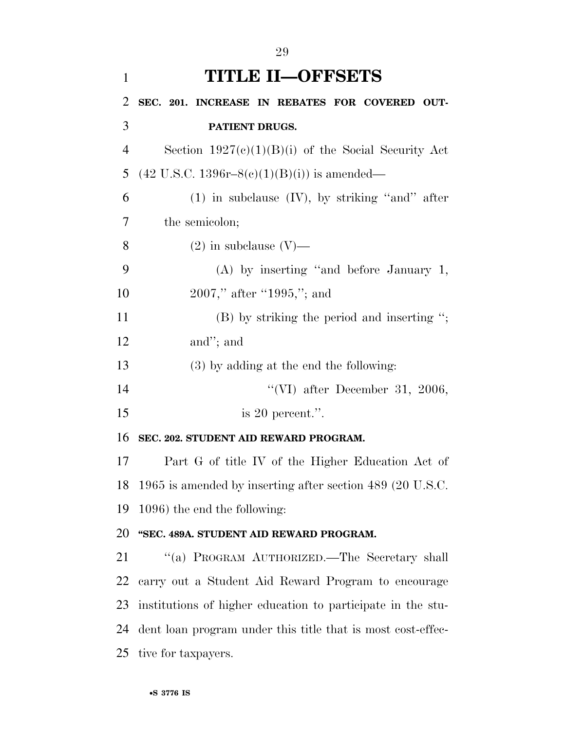| $\mathbf{1}$   | <b>TITLE II-OFFSETS</b>                                     |
|----------------|-------------------------------------------------------------|
| $\overline{2}$ | SEC. 201. INCREASE IN REBATES FOR COVERED OUT-              |
| 3              | PATIENT DRUGS.                                              |
| $\overline{4}$ | Section $1927(c)(1)(B)(i)$ of the Social Security Act       |
| 5              | $(42 \text{ U.S.C. } 1396r - 8(c)(1)(B)(i))$ is amended—    |
| 6              | $(1)$ in subclause $(IV)$ , by striking "and" after         |
| 7              | the semicolon;                                              |
| 8              | $(2)$ in subclause $(V)$ —                                  |
| 9              | $(A)$ by inserting "and before January 1,                   |
| 10             | $2007$ ," after "1995,"; and                                |
| 11             | $(B)$ by striking the period and inserting ";               |
| 12             | and"; and                                                   |
| 13             | $(3)$ by adding at the end the following:                   |
| 14             | "(VI) after December 31, 2006,                              |
| 15             | is 20 percent.".                                            |
| 16             | SEC. 202. STUDENT AID REWARD PROGRAM.                       |
| 17             | Part G of title IV of the Higher Education Act of           |
| 18             | 1965 is amended by inserting after section 489 (20 U.S.C.   |
| 19             | 1096) the end the following:                                |
| 20             | "SEC. 489A. STUDENT AID REWARD PROGRAM.                     |
| 21             | "(a) PROGRAM AUTHORIZED.—The Secretary shall                |
| 22             | carry out a Student Aid Reward Program to encourage         |
| 23             | institutions of higher education to participate in the stu- |
| 24             | dent loan program under this title that is most cost-effec- |
|                | 25 tive for taxpayers.                                      |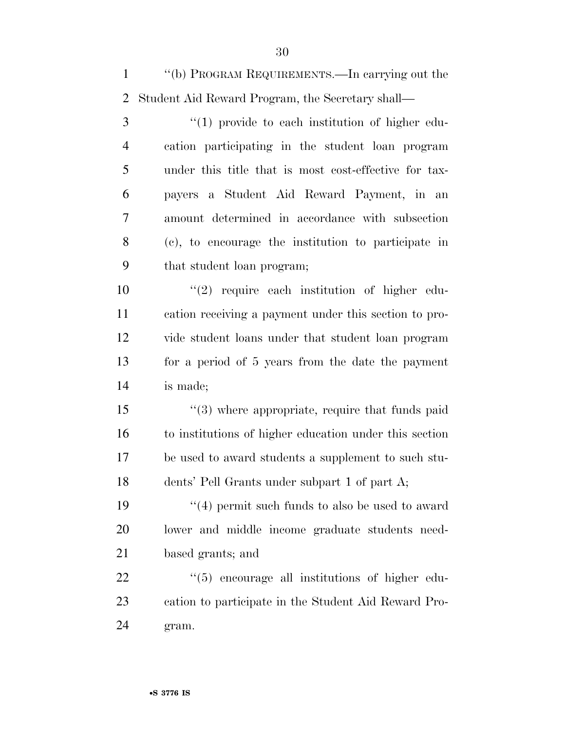''(b) PROGRAM REQUIREMENTS.—In carrying out the Student Aid Reward Program, the Secretary shall—

3 (1) provide to each institution of higher edu- cation participating in the student loan program under this title that is most cost-effective for tax- payers a Student Aid Reward Payment, in an amount determined in accordance with subsection (c), to encourage the institution to participate in that student loan program;

 $\frac{1}{2}$  require each institution of higher edu- cation receiving a payment under this section to pro- vide student loans under that student loan program for a period of 5 years from the date the payment is made;

15 ''(3) where appropriate, require that funds paid to institutions of higher education under this section be used to award students a supplement to such stu-dents' Pell Grants under subpart 1 of part A;

19  $\frac{1}{2}$  (4) permit such funds to also be used to award lower and middle income graduate students need-based grants; and

22  $\frac{1}{2}$  (5) encourage all institutions of higher edu- cation to participate in the Student Aid Reward Pro-gram.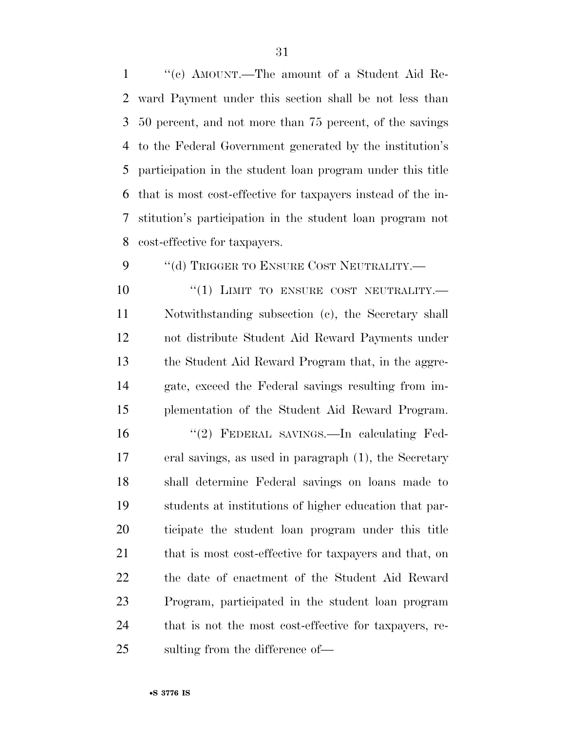''(c) AMOUNT.—The amount of a Student Aid Re- ward Payment under this section shall be not less than 50 percent, and not more than 75 percent, of the savings to the Federal Government generated by the institution's participation in the student loan program under this title that is most cost-effective for taxpayers instead of the in- stitution's participation in the student loan program not cost-effective for taxpayers.

9 "(d) TRIGGER TO ENSURE COST NEUTRALITY.—

 $(1)$  LIMIT TO ENSURE COST NEUTRALITY. Notwithstanding subsection (c), the Secretary shall not distribute Student Aid Reward Payments under the Student Aid Reward Program that, in the aggre- gate, exceed the Federal savings resulting from im-plementation of the Student Aid Reward Program.

 ''(2) FEDERAL SAVINGS.—In calculating Fed- eral savings, as used in paragraph (1), the Secretary shall determine Federal savings on loans made to students at institutions of higher education that par- ticipate the student loan program under this title that is most cost-effective for taxpayers and that, on the date of enactment of the Student Aid Reward Program, participated in the student loan program that is not the most cost-effective for taxpayers, re-sulting from the difference of—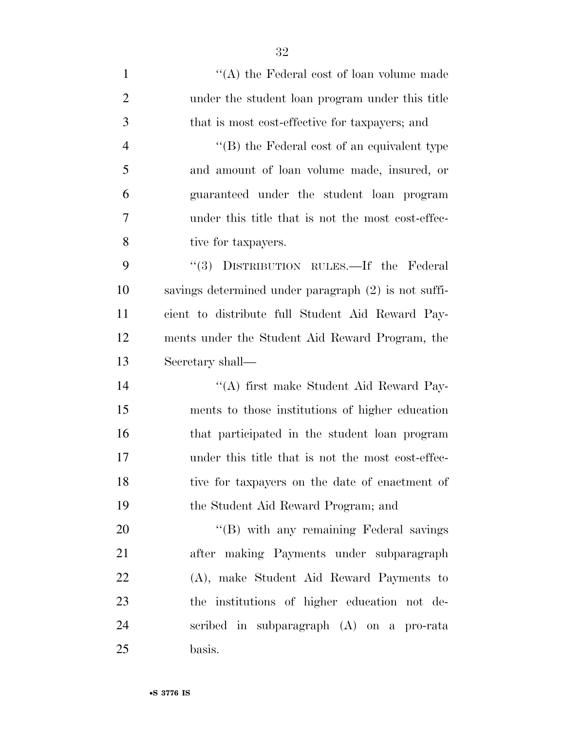| $\mathbf{1}$   | "(A) the Federal cost of loan volume made            |
|----------------|------------------------------------------------------|
| $\overline{2}$ | under the student loan program under this title      |
| 3              | that is most cost-effective for taxpayers; and       |
| $\overline{4}$ | $\lq\lq (B)$ the Federal cost of an equivalent type  |
| 5              | and amount of loan volume made, insured, or          |
| 6              | guaranteed under the student loan program            |
| 7              | under this title that is not the most cost-effec-    |
| 8              | tive for taxpayers.                                  |
| 9              | "(3) DISTRIBUTION RULES.—If the Federal              |
| 10             | savings determined under paragraph (2) is not suffi- |
| 11             | cient to distribute full Student Aid Reward Pay-     |
| 12             | ments under the Student Aid Reward Program, the      |
| 13             | Secretary shall—                                     |
| 14             | "(A) first make Student Aid Reward Pay-              |
| 15             | ments to those institutions of higher education      |
| 16             | that participated in the student loan program        |
| 17             | under this title that is not the most cost-effec-    |
| 18             | tive for taxpayers on the date of enactment of       |
| 19             | the Student Aid Reward Program; and                  |
| 20             | "(B) with any remaining Federal savings              |
| 21             | after making Payments under subparagraph             |
| 22             | (A), make Student Aid Reward Payments to             |
| 23             | the institutions of higher education not de-         |
| 24             | scribed in subparagraph (A) on a pro-rata            |
| 25             | basis.                                               |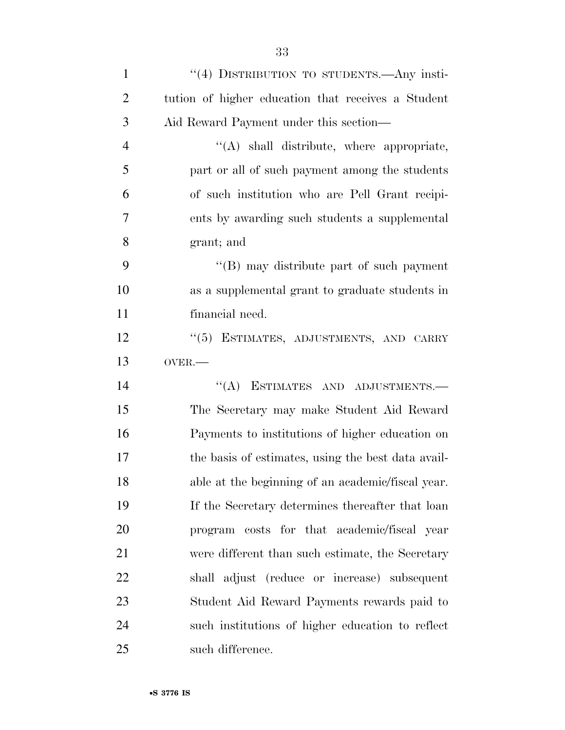| $\mathbf{1}$   | "(4) DISTRIBUTION TO STUDENTS.—Any insti-          |
|----------------|----------------------------------------------------|
| $\overline{2}$ | tution of higher education that receives a Student |
| 3              | Aid Reward Payment under this section—             |
| $\overline{4}$ | "(A) shall distribute, where appropriate,          |
| 5              | part or all of such payment among the students     |
| 6              | of such institution who are Pell Grant recipi-     |
| 7              | ents by awarding such students a supplemental      |
| 8              | grant; and                                         |
| 9              | "(B) may distribute part of such payment           |
| 10             | as a supplemental grant to graduate students in    |
| 11             | financial need.                                    |
| 12             | "(5) ESTIMATES, ADJUSTMENTS, AND CARRY             |
| 13             | OVER.-                                             |
| 14             | $``(A)$ ESTIMATES AND ADJUSTMENTS.—                |
| 15             | The Secretary may make Student Aid Reward          |
| 16             | Payments to institutions of higher education on    |
| 17             | the basis of estimates, using the best data avail- |
| 18             | able at the beginning of an academic/fiscal year.  |
| 19             | If the Secretary determines thereafter that loan   |
| 20             | costs for that academic/fiscal year<br>program     |
| 21             | were different than such estimate, the Secretary   |
| 22             | shall adjust (reduce or increase) subsequent       |
| 23             | Student Aid Reward Payments rewards paid to        |
| 24             | such institutions of higher education to reflect   |
| 25             | such difference.                                   |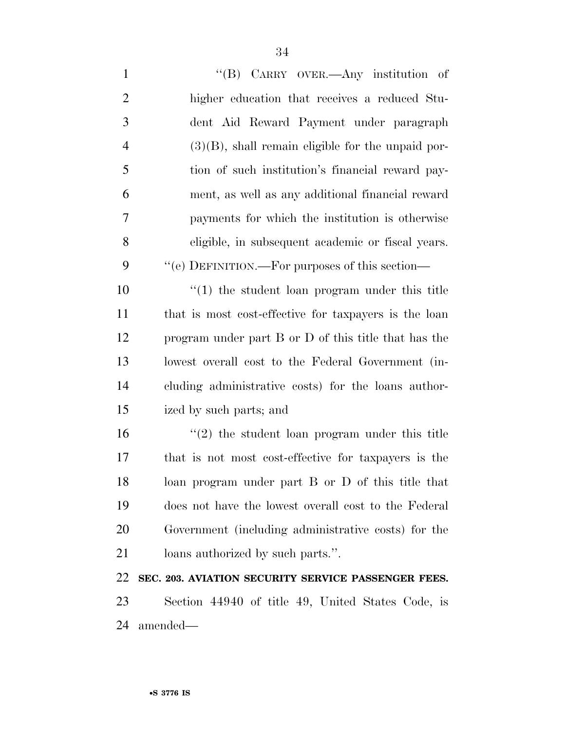1 ''(B) CARRY OVER.—Any institution of higher education that receives a reduced Stu- dent Aid Reward Payment under paragraph (3)(B), shall remain eligible for the unpaid por- tion of such institution's financial reward pay- ment, as well as any additional financial reward payments for which the institution is otherwise eligible, in subsequent academic or fiscal years.  $\cdot$  "(e) DEFINITION.—For purposes of this section— ''(1) the student loan program under this title that is most cost-effective for taxpayers is the loan program under part B or D of this title that has the lowest overall cost to the Federal Government (in- cluding administrative costs) for the loans author- ized by such parts; and 16 ''(2) the student loan program under this title that is not most cost-effective for taxpayers is the loan program under part B or D of this title that does not have the lowest overall cost to the Federal Government (including administrative costs) for the loans authorized by such parts.''. **SEC. 203. AVIATION SECURITY SERVICE PASSENGER FEES.** 

 Section 44940 of title 49, United States Code, is amended—